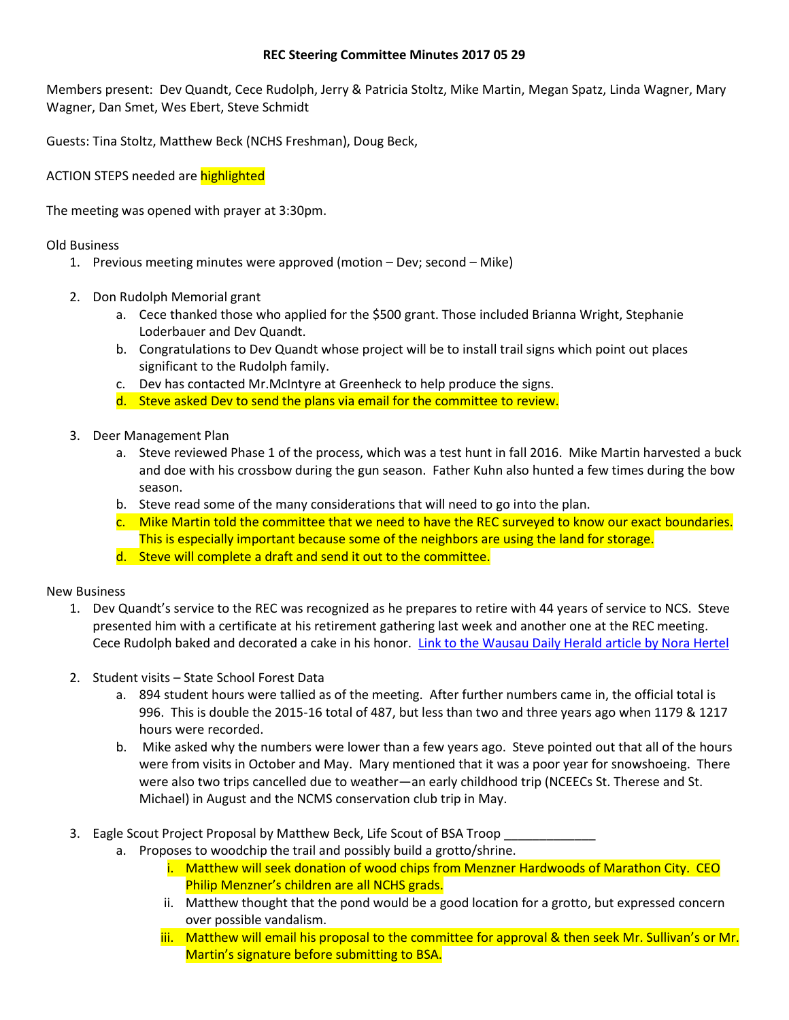## **REC Steering Committee Minutes 2017 05 29**

Members present: Dev Quandt, Cece Rudolph, Jerry & Patricia Stoltz, Mike Martin, Megan Spatz, Linda Wagner, Mary Wagner, Dan Smet, Wes Ebert, Steve Schmidt

Guests: Tina Stoltz, Matthew Beck (NCHS Freshman), Doug Beck,

ACTION STEPS needed are highlighted

The meeting was opened with prayer at 3:30pm.

Old Business

- 1. Previous meeting minutes were approved (motion Dev; second Mike)
- 2. Don Rudolph Memorial grant
	- a. Cece thanked those who applied for the \$500 grant. Those included Brianna Wright, Stephanie Loderbauer and Dev Quandt.
	- b. Congratulations to Dev Quandt whose project will be to install trail signs which point out places significant to the Rudolph family.
	- c. Dev has contacted Mr.McIntyre at Greenheck to help produce the signs.
	- d. Steve asked Dev to send the plans via email for the committee to review.
- 3. Deer Management Plan
	- a. Steve reviewed Phase 1 of the process, which was a test hunt in fall 2016. Mike Martin harvested a buck and doe with his crossbow during the gun season. Father Kuhn also hunted a few times during the bow season.
	- b. Steve read some of the many considerations that will need to go into the plan.
	- c. Mike Martin told the committee that we need to have the REC surveyed to know our exact boundaries. This is especially important because some of the neighbors are using the land for storage.
	- d. Steve will complete a draft and send it out to the committee.

New Business

- 1. Dev Quandt's service to the REC was recognized as he prepares to retire with 44 years of service to NCS. Steve presented him with a certificate at his retirement gathering last week and another one at the REC meeting. Cece Rudolph baked and decorated a cake in his honor. [Link to the Wausau Daily Herald article by Nora Hertel](http://www.wausaudailyherald.com/story/news/education/2017/05/26/beloved-newman-teacher-retires-after-44-years/347506001/)
- 2. Student visits State School Forest Data
	- a. 894 student hours were tallied as of the meeting. After further numbers came in, the official total is 996. This is double the 2015-16 total of 487, but less than two and three years ago when 1179 & 1217 hours were recorded.
	- b. Mike asked why the numbers were lower than a few years ago. Steve pointed out that all of the hours were from visits in October and May. Mary mentioned that it was a poor year for snowshoeing. There were also two trips cancelled due to weather—an early childhood trip (NCEECs St. Therese and St. Michael) in August and the NCMS conservation club trip in May.
- 3. Eagle Scout Project Proposal by Matthew Beck, Life Scout of BSA Troop
	- a. Proposes to woodchip the trail and possibly build a grotto/shrine.
		- i. Matthew will seek donation of wood chips from Menzner Hardwoods of Marathon City. CEO Philip Menzner's children are all NCHS grads.
		- ii. Matthew thought that the pond would be a good location for a grotto, but expressed concern over possible vandalism.
		- iii. Matthew will email his proposal to the committee for approval & then seek Mr. Sullivan's or Mr. Martin's signature before submitting to BSA.